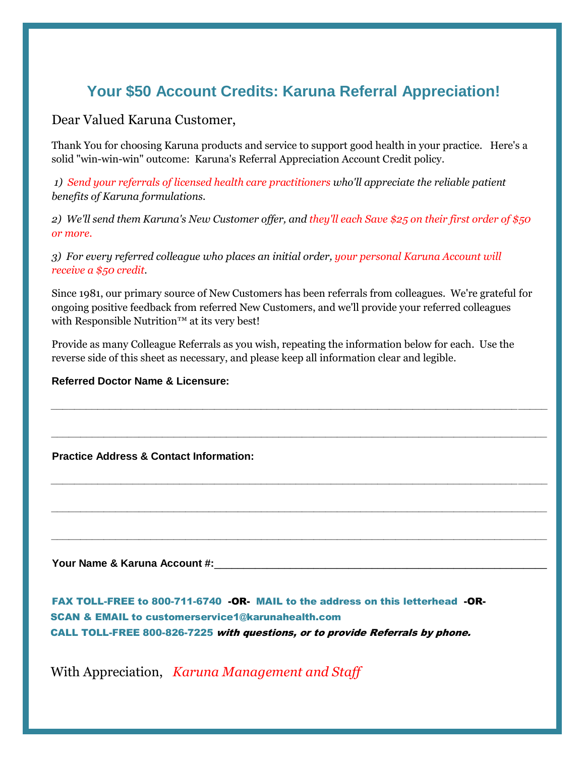## **Your \$50 Account Credits: Karuna Referral Appreciation!**

Dear Valued Karuna Customer,

Thank You for choosing Karuna products and service to support good health in your practice. Here's a solid "win-win-win" outcome: Karuna's Referral Appreciation Account Credit policy.

*1) Send your referrals of licensed health care practitioners who'll appreciate the reliable patient benefits of Karuna formulations.* 

*2) We'll send them Karuna's New Customer offer, and they'll each Save \$25 on their first order of \$50 or more.* 

*3) For every referred colleague who places an initial order, your personal Karuna Account will receive a \$50 credit.*

Since 1981, our primary source of New Customers has been referrals from colleagues. We're grateful for ongoing positive feedback from referred New Customers, and we'll provide your referred colleagues with Responsible Nutrition<sup>™</sup> at its very best!

*\_\_\_\_\_\_\_\_\_\_\_\_\_\_\_\_\_\_\_\_\_\_\_\_\_\_\_\_\_\_\_\_\_\_\_\_\_\_\_\_\_\_\_\_\_\_\_\_\_\_\_\_\_\_\_\_\_\_\_\_\_\_\_\_\_\_\_\_\_\_\_\_\_\_\_\_\_\_\_\_\_\_\_\_\_*

*\_\_\_\_\_\_\_\_\_\_\_\_\_\_\_\_\_\_\_\_\_\_\_\_\_\_\_\_\_\_\_\_\_\_\_\_\_\_\_\_\_\_\_\_\_\_\_\_\_\_\_\_\_\_\_\_\_\_\_\_\_\_\_\_\_\_\_\_\_\_\_\_\_\_\_\_\_\_\_\_\_\_\_\_\_*

 *\_\_\_\_\_\_\_\_\_\_\_\_\_\_\_\_\_\_\_\_\_\_\_\_\_\_\_\_\_\_\_\_\_\_\_\_\_\_\_\_\_\_\_\_\_\_\_\_\_\_\_\_\_\_\_\_\_\_\_\_\_\_\_\_\_\_\_\_\_\_\_\_\_\_\_\_\_\_\_\_\_\_\_\_\_* 

*\_\_\_\_\_\_\_\_\_\_\_\_\_\_\_\_\_\_\_\_\_\_\_\_\_\_\_\_\_\_\_\_\_\_\_\_\_\_\_\_\_\_\_\_\_\_\_\_\_\_\_\_\_\_\_\_\_\_\_\_\_\_\_\_\_\_\_\_\_\_\_\_\_\_\_\_\_\_\_\_\_\_\_\_\_* 

 *\_\_\_\_\_\_\_\_\_\_\_\_\_\_\_\_\_\_\_\_\_\_\_\_\_\_\_\_\_\_\_\_\_\_\_\_\_\_\_\_\_\_\_\_\_\_\_\_\_\_\_\_\_\_\_\_\_\_\_\_\_\_\_\_\_\_\_\_\_\_\_\_\_\_\_\_\_\_\_\_\_\_\_\_\_* 

Provide as many Colleague Referrals as you wish, repeating the information below for each. Use the reverse side of this sheet as necessary, and please keep all information clear and legible.

## **Referred Doctor Name & Licensure:**

 **Practice Address & Contact Information:** 

Your Name & Karuna Account #:

 FAX TOLL-FREE to 800-711-6740 -OR- MAIL to the address on this letterhead -OR- SCAN & EMAIL to customerservice1@karunahealth.com CALL TOLL-FREE 800-826-7225 with questions, or to provide Referrals by phone.

With Appreciation, *Karuna Management and Staff*